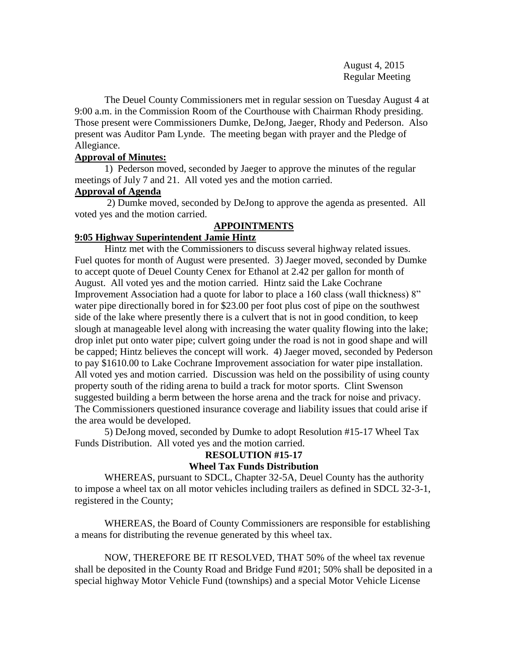August 4, 2015 Regular Meeting

The Deuel County Commissioners met in regular session on Tuesday August 4 at 9:00 a.m. in the Commission Room of the Courthouse with Chairman Rhody presiding. Those present were Commissioners Dumke, DeJong, Jaeger, Rhody and Pederson. Also present was Auditor Pam Lynde. The meeting began with prayer and the Pledge of Allegiance.

# **Approval of Minutes:**

1) Pederson moved, seconded by Jaeger to approve the minutes of the regular meetings of July 7 and 21. All voted yes and the motion carried.

## **Approval of Agenda**

2) Dumke moved, seconded by DeJong to approve the agenda as presented. All voted yes and the motion carried.

# **APPOINTMENTS**

# **9:05 Highway Superintendent Jamie Hintz**

Hintz met with the Commissioners to discuss several highway related issues. Fuel quotes for month of August were presented. 3) Jaeger moved, seconded by Dumke to accept quote of Deuel County Cenex for Ethanol at 2.42 per gallon for month of August. All voted yes and the motion carried. Hintz said the Lake Cochrane Improvement Association had a quote for labor to place a 160 class (wall thickness) 8" water pipe directionally bored in for \$23.00 per foot plus cost of pipe on the southwest side of the lake where presently there is a culvert that is not in good condition, to keep slough at manageable level along with increasing the water quality flowing into the lake; drop inlet put onto water pipe; culvert going under the road is not in good shape and will be capped; Hintz believes the concept will work. 4) Jaeger moved, seconded by Pederson to pay \$1610.00 to Lake Cochrane Improvement association for water pipe installation. All voted yes and motion carried. Discussion was held on the possibility of using county property south of the riding arena to build a track for motor sports. Clint Swenson suggested building a berm between the horse arena and the track for noise and privacy. The Commissioners questioned insurance coverage and liability issues that could arise if the area would be developed.

5) DeJong moved, seconded by Dumke to adopt Resolution #15-17 Wheel Tax Funds Distribution. All voted yes and the motion carried.

## **RESOLUTION #15-17**

## **Wheel Tax Funds Distribution**

WHEREAS, pursuant to SDCL, Chapter 32-5A, Deuel County has the authority to impose a wheel tax on all motor vehicles including trailers as defined in SDCL 32-3-1, registered in the County;

WHEREAS, the Board of County Commissioners are responsible for establishing a means for distributing the revenue generated by this wheel tax.

NOW, THEREFORE BE IT RESOLVED, THAT 50% of the wheel tax revenue shall be deposited in the County Road and Bridge Fund #201; 50% shall be deposited in a special highway Motor Vehicle Fund (townships) and a special Motor Vehicle License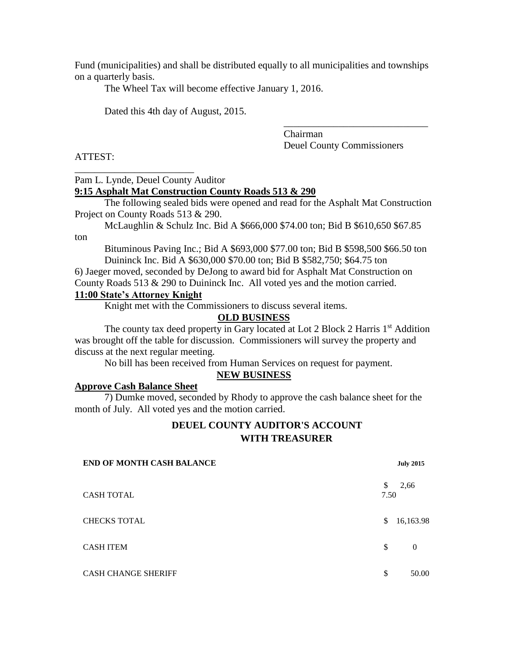Fund (municipalities) and shall be distributed equally to all municipalities and townships on a quarterly basis.

The Wheel Tax will become effective January 1, 2016.

Dated this 4th day of August, 2015.

Chairman Deuel County Commissioners

\_\_\_\_\_\_\_\_\_\_\_\_\_\_\_\_\_\_\_\_\_\_\_\_\_\_\_\_\_

ATTEST:

ton

Pam L. Lynde, Deuel County Auditor

\_\_\_\_\_\_\_\_\_\_\_\_\_\_\_\_\_\_\_\_\_\_\_\_

### **9:15 Asphalt Mat Construction County Roads 513 & 290**

The following sealed bids were opened and read for the Asphalt Mat Construction Project on County Roads 513 & 290.

McLaughlin & Schulz Inc. Bid A \$666,000 \$74.00 ton; Bid B \$610,650 \$67.85

Bituminous Paving Inc.; Bid A \$693,000 \$77.00 ton; Bid B \$598,500 \$66.50 ton Duininck Inc. Bid A \$630,000 \$70.00 ton; Bid B \$582,750; \$64.75 ton

6) Jaeger moved, seconded by DeJong to award bid for Asphalt Mat Construction on County Roads 513 & 290 to Duininck Inc. All voted yes and the motion carried.

## **11:00 State's Attorney Knight**

Knight met with the Commissioners to discuss several items.

#### **OLD BUSINESS**

The county tax deed property in Gary located at Lot 2 Block 2 Harris 1<sup>st</sup> Addition was brought off the table for discussion. Commissioners will survey the property and discuss at the next regular meeting.

No bill has been received from Human Services on request for payment.

### **NEW BUSINESS**

# **Approve Cash Balance Sheet**

7) Dumke moved, seconded by Rhody to approve the cash balance sheet for the month of July. All voted yes and the motion carried.

### **DEUEL COUNTY AUDITOR'S ACCOUNT WITH TREASURER**

| <b>END OF MONTH CASH BALANCE</b> |           | <b>July 2015</b> |
|----------------------------------|-----------|------------------|
| <b>CASH TOTAL</b>                | S<br>7.50 | 2,66             |
| <b>CHECKS TOTAL</b>              | \$        | 16,163.98        |
| <b>CASH ITEM</b>                 | \$        | $\theta$         |
| <b>CASH CHANGE SHERIFF</b>       | \$.       | 50.00            |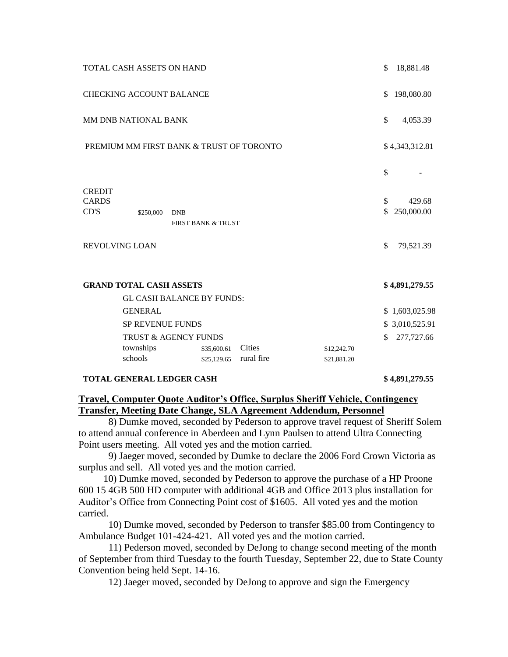|                                                                    | TOTAL CASH ASSETS ON HAND                    |                               |                      |                            | \$       | 18,881.48            |
|--------------------------------------------------------------------|----------------------------------------------|-------------------------------|----------------------|----------------------------|----------|----------------------|
| <b>CHECKING ACCOUNT BALANCE</b>                                    |                                              |                               |                      |                            |          | 198,080.80           |
| <b>MM DNB NATIONAL BANK</b>                                        |                                              |                               |                      |                            |          | 4,053.39             |
| PREMIUM MM FIRST BANK & TRUST OF TORONTO                           |                                              |                               |                      |                            |          | \$4,343,312.81       |
|                                                                    |                                              |                               |                      |                            | \$       |                      |
| <b>CREDIT</b><br><b>CARDS</b><br>CD'S                              | \$250,000<br><b>DNB</b>                      | <b>FIRST BANK &amp; TRUST</b> |                      |                            | \$<br>\$ | 429.68<br>250,000.00 |
|                                                                    | <b>REVOLVING LOAN</b>                        |                               |                      |                            | \$       | 79,521.39            |
| <b>GRAND TOTAL CASH ASSETS</b><br><b>GL CASH BALANCE BY FUNDS:</b> |                                              |                               |                      |                            |          | \$4,891,279.55       |
|                                                                    | <b>GENERAL</b>                               |                               |                      |                            |          | \$1,603,025.98       |
|                                                                    | SP REVENUE FUNDS                             |                               |                      |                            |          | \$ 3,010,525.91      |
|                                                                    | TRUST & AGENCY FUNDS<br>townships<br>schools | \$35,600.61<br>\$25,129.65    | Cities<br>rural fire | \$12,242.70<br>\$21,881.20 | \$       | 277,727.66           |
|                                                                    |                                              |                               |                      |                            |          |                      |

#### **TOTAL GENERAL LEDGER CASH \$ 4,891,279.55**

# **Travel, Computer Quote Auditor's Office, Surplus Sheriff Vehicle, Contingency Transfer, Meeting Date Change, SLA Agreement Addendum, Personnel**

8) Dumke moved, seconded by Pederson to approve travel request of Sheriff Solem to attend annual conference in Aberdeen and Lynn Paulsen to attend Ultra Connecting Point users meeting. All voted yes and the motion carried.

 9) Jaeger moved, seconded by Dumke to declare the 2006 Ford Crown Victoria as surplus and sell. All voted yes and the motion carried.

 10) Dumke moved, seconded by Pederson to approve the purchase of a HP Proone 600 15 4GB 500 HD computer with additional 4GB and Office 2013 plus installation for Auditor's Office from Connecting Point cost of \$1605. All voted yes and the motion carried.

 10) Dumke moved, seconded by Pederson to transfer \$85.00 from Contingency to Ambulance Budget 101-424-421. All voted yes and the motion carried.

 11) Pederson moved, seconded by DeJong to change second meeting of the month of September from third Tuesday to the fourth Tuesday, September 22, due to State County Convention being held Sept. 14-16.

12) Jaeger moved, seconded by DeJong to approve and sign the Emergency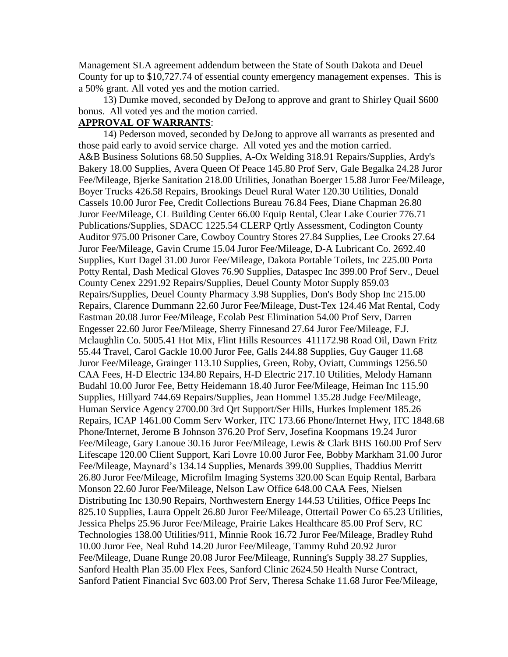Management SLA agreement addendum between the State of South Dakota and Deuel County for up to \$10,727.74 of essential county emergency management expenses. This is a 50% grant. All voted yes and the motion carried.

 13) Dumke moved, seconded by DeJong to approve and grant to Shirley Quail \$600 bonus. All voted yes and the motion carried.

## **APPROVAL OF WARRANTS**:

 14) Pederson moved, seconded by DeJong to approve all warrants as presented and those paid early to avoid service charge. All voted yes and the motion carried. A&B Business Solutions 68.50 Supplies, A-Ox Welding 318.91 Repairs/Supplies, Ardy's Bakery 18.00 Supplies, Avera Queen Of Peace 145.80 Prof Serv, Gale Begalka 24.28 Juror Fee/Mileage, Bjerke Sanitation 218.00 Utilities, Jonathan Boerger 15.88 Juror Fee/Mileage, Boyer Trucks 426.58 Repairs, Brookings Deuel Rural Water 120.30 Utilities, Donald Cassels 10.00 Juror Fee, Credit Collections Bureau 76.84 Fees, Diane Chapman 26.80 Juror Fee/Mileage, CL Building Center 66.00 Equip Rental, Clear Lake Courier 776.71 Publications/Supplies, SDACC 1225.54 CLERP Qrtly Assessment, Codington County Auditor 975.00 Prisoner Care, Cowboy Country Stores 27.84 Supplies, Lee Crooks 27.64 Juror Fee/Mileage, Gavin Crume 15.04 Juror Fee/Mileage, D-A Lubricant Co. 2692.40 Supplies, Kurt Dagel 31.00 Juror Fee/Mileage, Dakota Portable Toilets, Inc 225.00 Porta Potty Rental, Dash Medical Gloves 76.90 Supplies, Dataspec Inc 399.00 Prof Serv., Deuel County Cenex 2291.92 Repairs/Supplies, Deuel County Motor Supply 859.03 Repairs/Supplies, Deuel County Pharmacy 3.98 Supplies, Don's Body Shop Inc 215.00 Repairs, Clarence Dummann 22.60 Juror Fee/Mileage, Dust-Tex 124.46 Mat Rental, Cody Eastman 20.08 Juror Fee/Mileage, Ecolab Pest Elimination 54.00 Prof Serv, Darren Engesser 22.60 Juror Fee/Mileage, Sherry Finnesand 27.64 Juror Fee/Mileage, F.J. Mclaughlin Co. 5005.41 Hot Mix, Flint Hills Resources 411172.98 Road Oil, Dawn Fritz 55.44 Travel, Carol Gackle 10.00 Juror Fee, Galls 244.88 Supplies, Guy Gauger 11.68 Juror Fee/Mileage, Grainger 113.10 Supplies, Green, Roby, Oviatt, Cummings 1256.50 CAA Fees, H-D Electric 134.80 Repairs, H-D Electric 217.10 Utilities, Melody Hamann Budahl 10.00 Juror Fee, Betty Heidemann 18.40 Juror Fee/Mileage, Heiman Inc 115.90 Supplies, Hillyard 744.69 Repairs/Supplies, Jean Hommel 135.28 Judge Fee/Mileage, Human Service Agency 2700.00 3rd Qrt Support/Ser Hills, Hurkes Implement 185.26 Repairs, ICAP 1461.00 Comm Serv Worker, ITC 173.66 Phone/Internet Hwy, ITC 1848.68 Phone/Internet, Jerome B Johnson 376.20 Prof Serv, Josefina Koopmans 19.24 Juror Fee/Mileage, Gary Lanoue 30.16 Juror Fee/Mileage, Lewis & Clark BHS 160.00 Prof Serv Lifescape 120.00 Client Support, Kari Lovre 10.00 Juror Fee, Bobby Markham 31.00 Juror Fee/Mileage, Maynard's 134.14 Supplies, Menards 399.00 Supplies, Thaddius Merritt 26.80 Juror Fee/Mileage, Microfilm Imaging Systems 320.00 Scan Equip Rental, Barbara Monson 22.60 Juror Fee/Mileage, Nelson Law Office 648.00 CAA Fees, Nielsen Distributing Inc 130.90 Repairs, Northwestern Energy 144.53 Utilities, Office Peeps Inc 825.10 Supplies, Laura Oppelt 26.80 Juror Fee/Mileage, Ottertail Power Co 65.23 Utilities, Jessica Phelps 25.96 Juror Fee/Mileage, Prairie Lakes Healthcare 85.00 Prof Serv, RC Technologies 138.00 Utilities/911, Minnie Rook 16.72 Juror Fee/Mileage, Bradley Ruhd 10.00 Juror Fee, Neal Ruhd 14.20 Juror Fee/Mileage, Tammy Ruhd 20.92 Juror Fee/Mileage, Duane Runge 20.08 Juror Fee/Mileage, Running's Supply 38.27 Supplies, Sanford Health Plan 35.00 Flex Fees, Sanford Clinic 2624.50 Health Nurse Contract, Sanford Patient Financial Svc 603.00 Prof Serv, Theresa Schake 11.68 Juror Fee/Mileage,